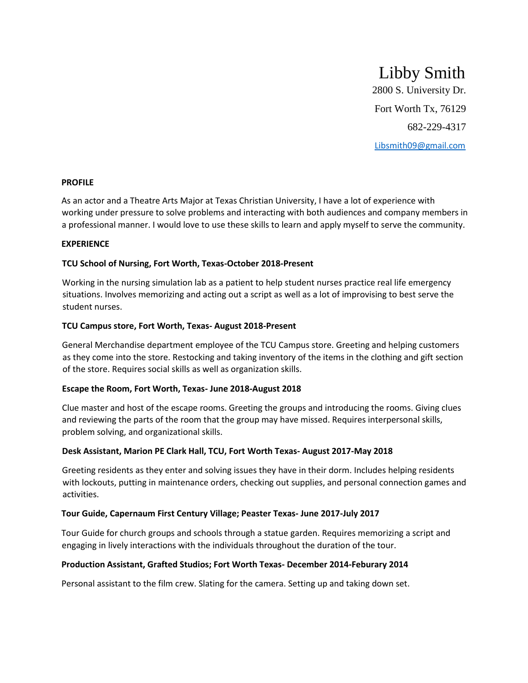# Libby Smith

2800 S. University Dr. Fort Worth Tx, 76129 682-229-4317 Libsmith09@gmail.com

#### **PROFILE**

As an actor and a Theatre Arts Major at Texas Christian University, I have a lot of experience with working under pressure to solve problems and interacting with both audiences and company members in a professional manner. I would love to use these skills to learn and apply myself to serve the community.

#### **EXPERIENCE**

# **TCU School of Nursing, Fort Worth, Texas-October 2018-Present**

Working in the nursing simulation lab as a patient to help student nurses practice real life emergency situations. Involves memorizing and acting out a script as well as a lot of improvising to best serve the student nurses.

#### **TCU Campus store, Fort Worth, Texas- August 2018-Present**

General Merchandise department employee of the TCU Campus store. Greeting and helping customers as they come into the store. Restocking and taking inventory of the items in the clothing and gift section of the store. Requires social skills as well as organization skills.

#### **Escape the Room, Fort Worth, Texas- June 2018-August 2018**

Clue master and host of the escape rooms. Greeting the groups and introducing the rooms. Giving clues and reviewing the parts of the room that the group may have missed. Requires interpersonal skills, problem solving, and organizational skills.

# **Desk Assistant, Marion PE Clark Hall, TCU, Fort Worth Texas- August 2017-May 2018**

Greeting residents as they enter and solving issues they have in their dorm. Includes helping residents with lockouts, putting in maintenance orders, checking out supplies, and personal connection games and activities.

# **Tour Guide, Capernaum First Century Village; Peaster Texas- June 2017-July 2017**

Tour Guide for church groups and schools through a statue garden. Requires memorizing a script and engaging in lively interactions with the individuals throughout the duration of the tour.

# **Production Assistant, Grafted Studios; Fort Worth Texas- December 2014-Feburary 2014**

Personal assistant to the film crew. Slating for the camera. Setting up and taking down set.